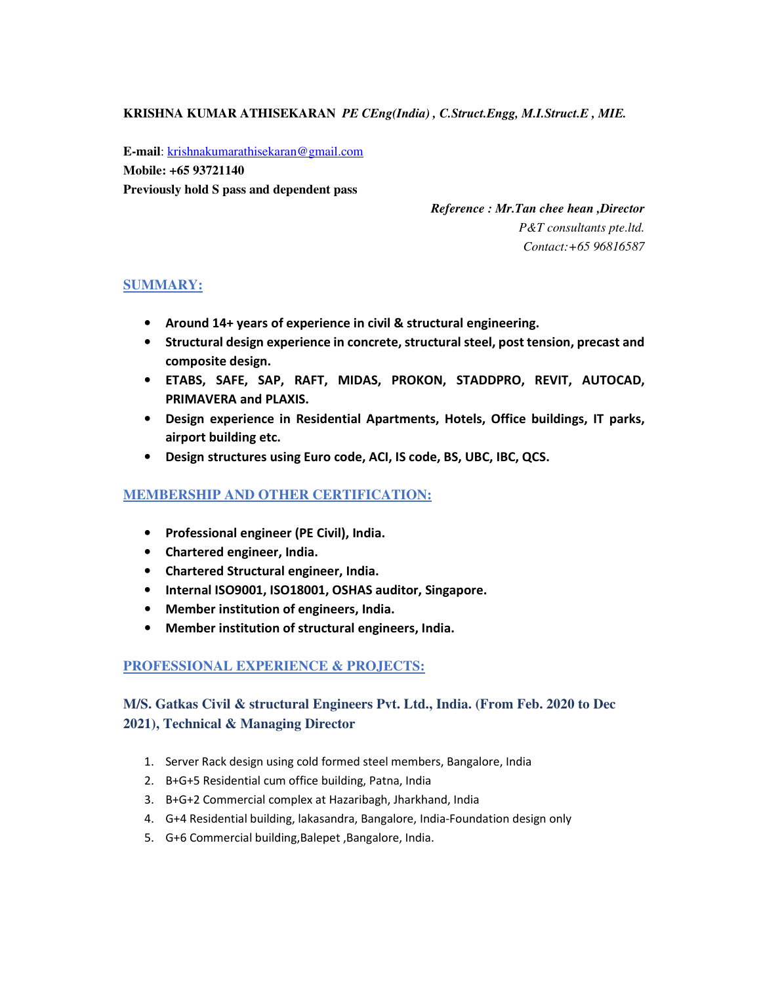**KRISHNA KUMAR ATHISEKARAN** *PE CEng(India) , C.Struct.Engg, M.I.Struct.E , MIE.*

**E-mail**: krishnakumarathisekaran@gmail.com **Mobile: +65 93721140 Previously hold S pass and dependent pass** 

> *Reference : Mr.Tan chee hean ,Director P&T consultants pte.ltd. Contact:+65 96816587*

## **SUMMARY:**

- **Around 14+ years of experience in civil & structural engineering.**
- **Structural design experience in concrete, structural steel, post tension, precast and composite design.**
- **ETABS, SAFE, SAP, RAFT, MIDAS, PROKON, STADDPRO, REVIT, AUTOCAD, PRIMAVERA and PLAXIS.**
- **Design experience in Residential Apartments, Hotels, Office buildings, IT parks, airport building etc.**
- **Design structures using Euro code, ACI, IS code, BS, UBC, IBC, QCS.**

## **MEMBERSHIP AND OTHER CERTIFICATION:**

- **Professional engineer (PE Civil), India.**
- **Chartered engineer, India.**
- **Chartered Structural engineer, India.**
- **Internal ISO9001, ISO18001, OSHAS auditor, Singapore.**
- **Member institution of engineers, India.**
- **Member institution of structural engineers, India.**

## **PROFESSIONAL EXPERIENCE & PROJECTS:**

## **M/S. Gatkas Civil & structural Engineers Pvt. Ltd., India. (From Feb. 2020 to Dec 2021), Technical & Managing Director**

- 1. Server Rack design using cold formed steel members, Bangalore, India
- 2. B+G+5 Residential cum office building, Patna, India
- 3. B+G+2 Commercial complex at Hazaribagh, Jharkhand, India
- 4. G+4 Residential building, lakasandra, Bangalore, India-Foundation design only
- 5. G+6 Commercial building,Balepet ,Bangalore, India.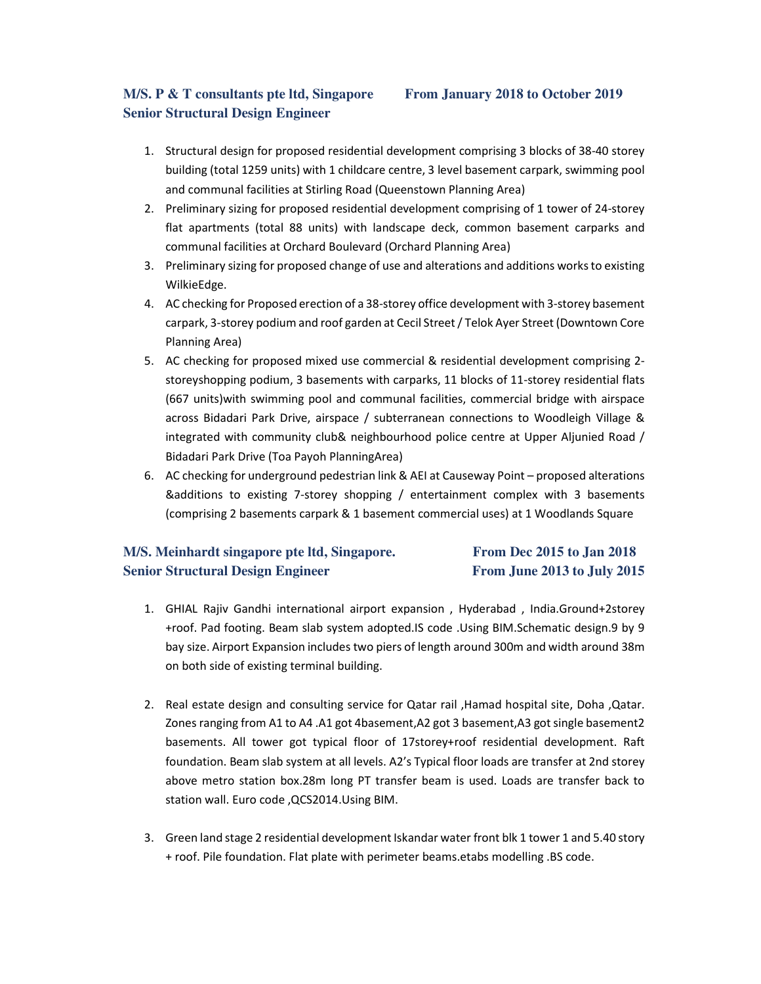# **M/S. P & T consultants pte ltd, Singapore From January 2018 to October 2019 Senior Structural Design Engineer**

- 1. Structural design for proposed residential development comprising 3 blocks of 38-40 storey building (total 1259 units) with 1 childcare centre, 3 level basement carpark, swimming pool and communal facilities at Stirling Road (Queenstown Planning Area)
- 2. Preliminary sizing for proposed residential development comprising of 1 tower of 24-storey flat apartments (total 88 units) with landscape deck, common basement carparks and communal facilities at Orchard Boulevard (Orchard Planning Area)
- 3. Preliminary sizing for proposed change of use and alterations and additions works to existing WilkieEdge.
- 4. AC checking for Proposed erection of a 38-storey office development with 3-storey basement carpark, 3-storey podium and roof garden at Cecil Street / Telok Ayer Street (Downtown Core Planning Area)
- 5. AC checking for proposed mixed use commercial & residential development comprising 2 storeyshopping podium, 3 basements with carparks, 11 blocks of 11-storey residential flats (667 units)with swimming pool and communal facilities, commercial bridge with airspace across Bidadari Park Drive, airspace / subterranean connections to Woodleigh Village & integrated with community club& neighbourhood police centre at Upper Aljunied Road / Bidadari Park Drive (Toa Payoh PlanningArea)
- 6. AC checking for underground pedestrian link & AEI at Causeway Point proposed alterations &additions to existing 7-storey shopping / entertainment complex with 3 basements (comprising 2 basements carpark & 1 basement commercial uses) at 1 Woodlands Square

## **M/S. Meinhardt singapore pte ltd, Singapore. From Dec 2015 to Jan 2018 Senior Structural Design Engineer From June 2013 to July 2015**

- 1. GHIAL Rajiv Gandhi international airport expansion , Hyderabad , India.Ground+2storey +roof. Pad footing. Beam slab system adopted.IS code .Using BIM.Schematic design.9 by 9 bay size. Airport Expansion includes two piers of length around 300m and width around 38m on both side of existing terminal building.
- 2. Real estate design and consulting service for Qatar rail ,Hamad hospital site, Doha ,Qatar. Zones ranging from A1 to A4 .A1 got 4basement,A2 got 3 basement,A3 got single basement2 basements. All tower got typical floor of 17storey+roof residential development. Raft foundation. Beam slab system at all levels. A2's Typical floor loads are transfer at 2nd storey above metro station box.28m long PT transfer beam is used. Loads are transfer back to station wall. Euro code ,QCS2014.Using BIM.
- 3. Green land stage 2 residential development Iskandar water front blk 1 tower 1 and 5.40 story + roof. Pile foundation. Flat plate with perimeter beams.etabs modelling .BS code.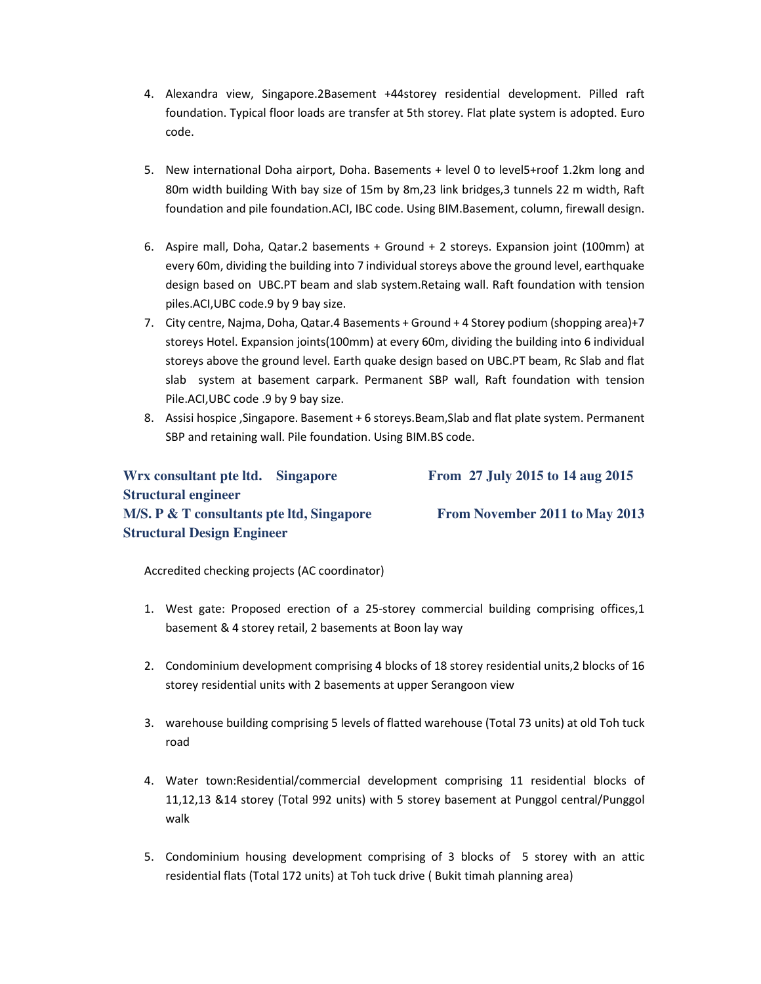- 4. Alexandra view, Singapore.2Basement +44storey residential development. Pilled raft foundation. Typical floor loads are transfer at 5th storey. Flat plate system is adopted. Euro code.
- 5. New international Doha airport, Doha. Basements + level 0 to level5+roof 1.2km long and 80m width building With bay size of 15m by 8m,23 link bridges,3 tunnels 22 m width, Raft foundation and pile foundation.ACI, IBC code. Using BIM.Basement, column, firewall design.
- 6. Aspire mall, Doha, Qatar.2 basements + Ground + 2 storeys. Expansion joint (100mm) at every 60m, dividing the building into 7 individual storeys above the ground level, earthquake design based on UBC.PT beam and slab system.Retaing wall. Raft foundation with tension piles.ACI,UBC code.9 by 9 bay size.
- 7. City centre, Najma, Doha, Qatar.4 Basements + Ground + 4 Storey podium (shopping area)+7 storeys Hotel. Expansion joints(100mm) at every 60m, dividing the building into 6 individual storeys above the ground level. Earth quake design based on UBC.PT beam, Rc Slab and flat slab system at basement carpark. Permanent SBP wall, Raft foundation with tension Pile.ACI,UBC code .9 by 9 bay size.
- 8. Assisi hospice ,Singapore. Basement + 6 storeys.Beam,Slab and flat plate system. Permanent SBP and retaining wall. Pile foundation. Using BIM.BS code.

# **Wrx consultant pte ltd. Singapore From 27 July 2015 to 14 aug 2015 Structural engineer M/S. P & T consultants pte ltd, Singapore From November 2011 to May 2013 Structural Design Engineer**

Accredited checking projects (AC coordinator)

- 1. West gate: Proposed erection of a 25-storey commercial building comprising offices,1 basement & 4 storey retail, 2 basements at Boon lay way
- 2. Condominium development comprising 4 blocks of 18 storey residential units,2 blocks of 16 storey residential units with 2 basements at upper Serangoon view
- 3. warehouse building comprising 5 levels of flatted warehouse (Total 73 units) at old Toh tuck road
- 4. Water town:Residential/commercial development comprising 11 residential blocks of 11,12,13 &14 storey (Total 992 units) with 5 storey basement at Punggol central/Punggol walk
- 5. Condominium housing development comprising of 3 blocks of 5 storey with an attic residential flats (Total 172 units) at Toh tuck drive ( Bukit timah planning area)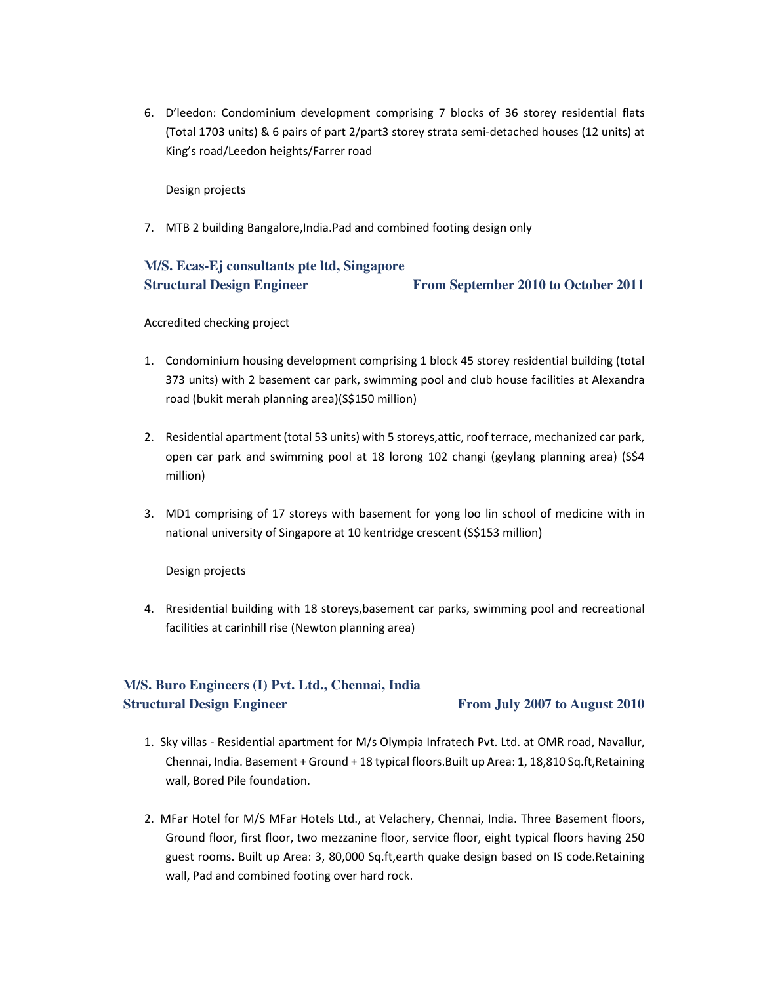6. D'leedon: Condominium development comprising 7 blocks of 36 storey residential flats (Total 1703 units) & 6 pairs of part 2/part3 storey strata semi-detached houses (12 units) at King's road/Leedon heights/Farrer road

Design projects

7. MTB 2 building Bangalore,India.Pad and combined footing design only

## **M/S. Ecas-Ej consultants pte ltd, Singapore Structural Design Engineer** From September 2010 to October 2011

Accredited checking project

- 1. Condominium housing development comprising 1 block 45 storey residential building (total 373 units) with 2 basement car park, swimming pool and club house facilities at Alexandra road (bukit merah planning area)(S\$150 million)
- 2. Residential apartment (total 53 units) with 5 storeys,attic, roof terrace, mechanized car park, open car park and swimming pool at 18 lorong 102 changi (geylang planning area) (S\$4 million)
- 3. MD1 comprising of 17 storeys with basement for yong loo lin school of medicine with in national university of Singapore at 10 kentridge crescent (S\$153 million)

Design projects

4. Rresidential building with 18 storeys,basement car parks, swimming pool and recreational facilities at carinhill rise (Newton planning area)

# **M/S. Buro Engineers (I) Pvt. Ltd., Chennai, India Structural Design Engineer From July 2007 to August 2010**

- 1. Sky villas Residential apartment for M/s Olympia Infratech Pvt. Ltd. at OMR road, Navallur, Chennai, India. Basement + Ground + 18 typical floors.Built up Area: 1, 18,810 Sq.ft,Retaining wall, Bored Pile foundation.
- 2. MFar Hotel for M/S MFar Hotels Ltd., at Velachery, Chennai, India. Three Basement floors, Ground floor, first floor, two mezzanine floor, service floor, eight typical floors having 250 guest rooms. Built up Area: 3, 80,000 Sq.ft,earth quake design based on IS code.Retaining wall, Pad and combined footing over hard rock.